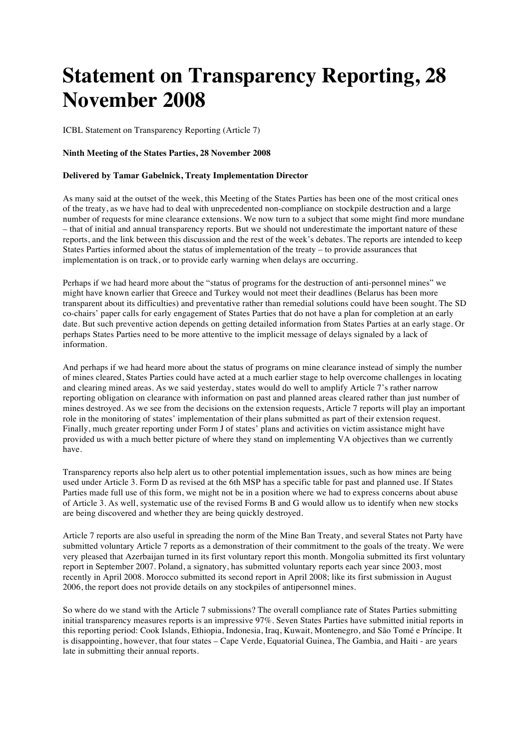## **Statement on Transparency Reporting, 28 November 2008**

ICBL Statement on Transparency Reporting (Article 7)

## **Ninth Meeting of the States Parties, 28 November 2008**

## **Delivered by Tamar Gabelnick, Treaty Implementation Director**

As many said at the outset of the week, this Meeting of the States Parties has been one of the most critical ones of the treaty, as we have had to deal with unprecedented non-compliance on stockpile destruction and a large number of requests for mine clearance extensions. We now turn to a subject that some might find more mundane – that of initial and annual transparency reports. But we should not underestimate the important nature of these reports, and the link between this discussion and the rest of the week's debates. The reports are intended to keep States Parties informed about the status of implementation of the treaty – to provide assurances that implementation is on track, or to provide early warning when delays are occurring.

Perhaps if we had heard more about the "status of programs for the destruction of anti-personnel mines" we might have known earlier that Greece and Turkey would not meet their deadlines (Belarus has been more transparent about its difficulties) and preventative rather than remedial solutions could have been sought. The SD co-chairs' paper calls for early engagement of States Parties that do not have a plan for completion at an early date. But such preventive action depends on getting detailed information from States Parties at an early stage. Or perhaps States Parties need to be more attentive to the implicit message of delays signaled by a lack of information.

And perhaps if we had heard more about the status of programs on mine clearance instead of simply the number of mines cleared, States Parties could have acted at a much earlier stage to help overcome challenges in locating and clearing mined areas. As we said yesterday, states would do well to amplify Article 7's rather narrow reporting obligation on clearance with information on past and planned areas cleared rather than just number of mines destroyed. As we see from the decisions on the extension requests, Article 7 reports will play an important role in the monitoring of states' implementation of their plans submitted as part of their extension request. Finally, much greater reporting under Form J of states' plans and activities on victim assistance might have provided us with a much better picture of where they stand on implementing VA objectives than we currently have.

Transparency reports also help alert us to other potential implementation issues, such as how mines are being used under Article 3. Form D as revised at the 6th MSP has a specific table for past and planned use. If States Parties made full use of this form, we might not be in a position where we had to express concerns about abuse of Article 3. As well, systematic use of the revised Forms B and G would allow us to identify when new stocks are being discovered and whether they are being quickly destroyed.

Article 7 reports are also useful in spreading the norm of the Mine Ban Treaty, and several States not Party have submitted voluntary Article 7 reports as a demonstration of their commitment to the goals of the treaty. We were very pleased that Azerbaijan turned in its first voluntary report this month. Mongolia submitted its first voluntary report in September 2007. Poland, a signatory, has submitted voluntary reports each year since 2003, most recently in April 2008. Morocco submitted its second report in April 2008; like its first submission in August 2006, the report does not provide details on any stockpiles of antipersonnel mines.

So where do we stand with the Article 7 submissions? The overall compliance rate of States Parties submitting initial transparency measures reports is an impressive 97%. Seven States Parties have submitted initial reports in this reporting period: Cook Islands, Ethiopia, Indonesia, Iraq, Kuwait, Montenegro, and São Tomé e Príncipe. It is disappointing, however, that four states – Cape Verde, Equatorial Guinea, The Gambia, and Haiti - are years late in submitting their annual reports.